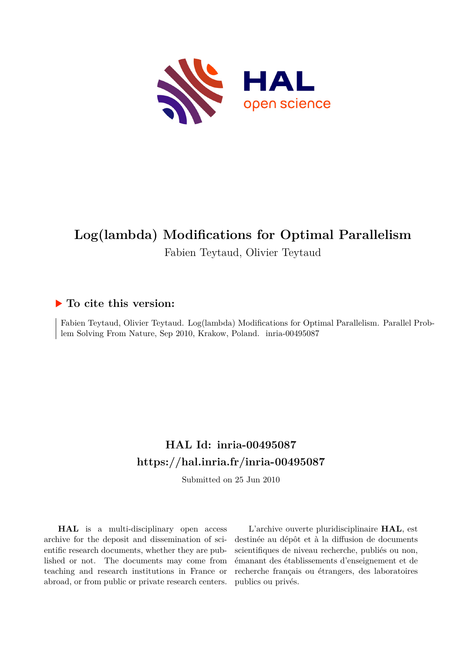

# **Log(lambda) Modifications for Optimal Parallelism**

Fabien Teytaud, Olivier Teytaud

# **To cite this version:**

Fabien Teytaud, Olivier Teytaud. Log(lambda) Modifications for Optimal Parallelism. Parallel Problem Solving From Nature, Sep 2010, Krakow, Poland. inria-00495087

# **HAL Id: inria-00495087 <https://hal.inria.fr/inria-00495087>**

Submitted on 25 Jun 2010

**HAL** is a multi-disciplinary open access archive for the deposit and dissemination of scientific research documents, whether they are published or not. The documents may come from teaching and research institutions in France or abroad, or from public or private research centers.

L'archive ouverte pluridisciplinaire **HAL**, est destinée au dépôt et à la diffusion de documents scientifiques de niveau recherche, publiés ou non, émanant des établissements d'enseignement et de recherche français ou étrangers, des laboratoires publics ou privés.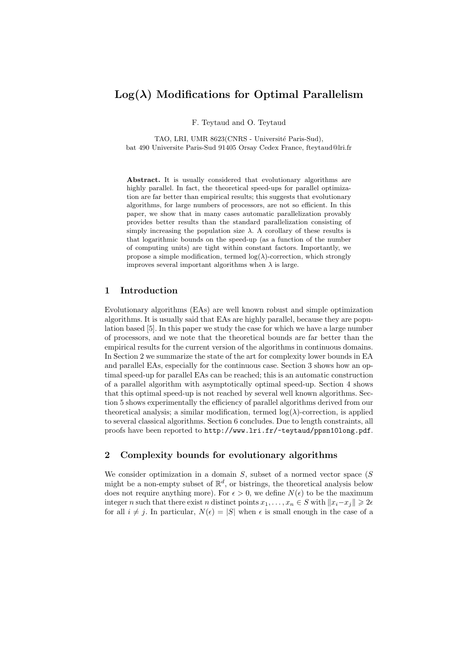# $Log(\lambda)$  Modifications for Optimal Parallelism

F. Teytaud and O. Teytaud

TAO, LRI, UMR 8623(CNRS - Université Paris-Sud), bat 490 Universite Paris-Sud 91405 Orsay Cedex France, fteytaud@lri.fr

Abstract. It is usually considered that evolutionary algorithms are highly parallel. In fact, the theoretical speed-ups for parallel optimization are far better than empirical results; this suggests that evolutionary algorithms, for large numbers of processors, are not so efficient. In this paper, we show that in many cases automatic parallelization provably provides better results than the standard parallelization consisting of simply increasing the population size  $\lambda$ . A corollary of these results is that logarithmic bounds on the speed-up (as a function of the number of computing units) are tight within constant factors. Importantly, we propose a simple modification, termed  $log(\lambda)$ -correction, which strongly improves several important algorithms when  $\lambda$  is large.

# 1 Introduction

Evolutionary algorithms (EAs) are well known robust and simple optimization algorithms. It is usually said that EAs are highly parallel, because they are population based [5]. In this paper we study the case for which we have a large number of processors, and we note that the theoretical bounds are far better than the empirical results for the current version of the algorithms in continuous domains. In Section 2 we summarize the state of the art for complexity lower bounds in EA and parallel EAs, especially for the continuous case. Section 3 shows how an optimal speed-up for parallel EAs can be reached; this is an automatic construction of a parallel algorithm with asymptotically optimal speed-up. Section 4 shows that this optimal speed-up is not reached by several well known algorithms. Section 5 shows experimentally the efficiency of parallel algorithms derived from our theoretical analysis; a similar modification, termed  $log(\lambda)$ -correction, is applied to several classical algorithms. Section 6 concludes. Due to length constraints, all proofs have been reported to http://www.lri.fr/~teytaud/ppsn10long.pdf.

# 2 Complexity bounds for evolutionary algorithms

We consider optimization in a domain  $S$ , subset of a normed vector space  $(S)$ might be a non-empty subset of  $\mathbb{R}^d$ , or bistrings, the theoretical analysis below does not require anything more). For  $\epsilon > 0$ , we define  $N(\epsilon)$  to be the maximum integer n such that there exist n distinct points  $x_1, \ldots, x_n \in S$  with  $||x_i - x_j|| \geq 2\epsilon$ for all  $i \neq j$ . In particular,  $N(\epsilon) = |S|$  when  $\epsilon$  is small enough in the case of a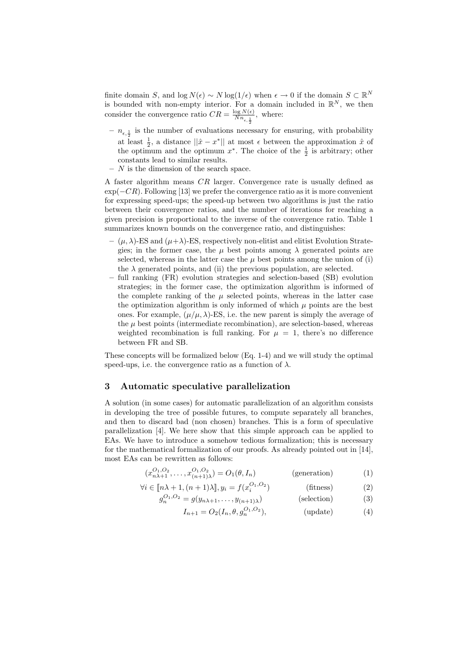finite domain S, and log  $N(\epsilon) \sim N \log(1/\epsilon)$  when  $\epsilon \to 0$  if the domain  $S \subset \mathbb{R}^N$ is bounded with non-empty interior. For a domain included in  $\mathbb{R}^N$ , we then consider the convergence ratio  $CR = \frac{\log N(\epsilon)}{Nn}$  $\frac{\log N(\epsilon)}{N n_{\epsilon,\frac{1}{2}}}$ , where:

- $n_{\epsilon, \frac{1}{2}}$  is the number of evaluations necessary for ensuring, with probability at least  $\frac{1}{2}$ , a distance  $||\hat{x} - x^*||$  at most  $\epsilon$  between the approximation  $\hat{x}$  of the optimum and the optimum  $x^*$ . The choice of the  $\frac{1}{2}$  is arbitrary; other constants lead to similar results.
- $N$  is the dimension of the search space.

A faster algorithm means CR larger. Convergence rate is usually defined as  $\exp(-CR)$ . Following [13] we prefer the convergence ratio as it is more convenient for expressing speed-ups; the speed-up between two algorithms is just the ratio between their convergence ratios, and the number of iterations for reaching a given precision is proportional to the inverse of the convergence ratio. Table 1 summarizes known bounds on the convergence ratio, and distinguishes:

- $-(\mu, \lambda)$ -ES and  $(\mu+\lambda)$ -ES, respectively non-elitist and elitist Evolution Strategies; in the former case, the  $\mu$  best points among  $\lambda$  generated points are selected, whereas in the latter case the  $\mu$  best points among the union of (i) the  $\lambda$  generated points, and (ii) the previous population, are selected.
- full ranking (FR) evolution strategies and selection-based (SB) evolution strategies; in the former case, the optimization algorithm is informed of the complete ranking of the  $\mu$  selected points, whereas in the latter case the optimization algorithm is only informed of which  $\mu$  points are the best ones. For example,  $(\mu/\mu, \lambda)$ -ES, i.e. the new parent is simply the average of the  $\mu$  best points (intermediate recombination), are selection-based, whereas weighted recombination is full ranking. For  $\mu = 1$ , there's no difference between FR and SB.

These concepts will be formalized below (Eq. 1-4) and we will study the optimal speed-ups, i.e. the convergence ratio as a function of  $\lambda$ .

## 3 Automatic speculative parallelization

A solution (in some cases) for automatic parallelization of an algorithm consists in developing the tree of possible futures, to compute separately all branches, and then to discard bad (non chosen) branches. This is a form of speculative parallelization [4]. We here show that this simple approach can be applied to EAs. We have to introduce a somehow tedious formalization; this is necessary for the mathematical formalization of our proofs. As already pointed out in [14], most EAs can be rewritten as follows:

$$
(x_{n\lambda+1}^{O_1,O_2},\ldots,x_{(n+1)\lambda}^{O_1,O_2}) = O_1(\theta,I_n)
$$
 (generation) (1)

$$
\forall i \in [\![n\lambda+1,(n+1)\lambda]\!], y_i = f(x_i^{O_1,O_2})
$$
 (fitness) (2)

$$
g_n^{O_1,O_2} = g(y_{n\lambda+1}, \dots, y_{(n+1)\lambda})
$$
 (selection) (3)

$$
I_{n+1} = O_2(I_n, \theta, g_n^{O_1, O_2}), \qquad \text{(update)} \tag{4}
$$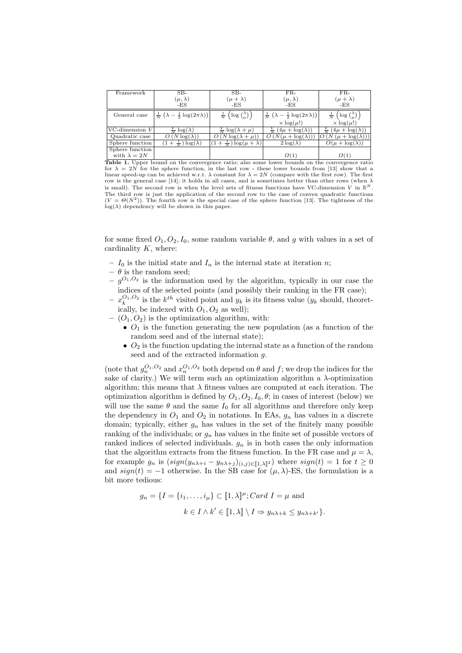| Framework           | $SB-$                                                            | $SB-$                                                    | $FR-$                                                  | $FR-$                                       |
|---------------------|------------------------------------------------------------------|----------------------------------------------------------|--------------------------------------------------------|---------------------------------------------|
|                     | $(\mu, \lambda)$                                                 | $(\mu + \lambda)$                                        | $(\mu, \lambda)$                                       | $(\mu + \lambda)$                           |
|                     | $-ES$                                                            | -ES                                                      | $-ES$                                                  | -ES                                         |
| General case        | $\left \frac{1}{N}(\lambda-\frac{1}{2}\log(2\pi\lambda))\right $ | $\left(\log\binom{\lambda}{\mu}\right)$<br>$\frac{1}{N}$ | $\frac{1}{N}(\lambda - \frac{1}{2} \log(2\pi\lambda))$ | $\log\binom{\lambda}{\mu}$<br>$\frac{1}{N}$ |
|                     |                                                                  |                                                          | $\times$ log( $\mu$ !)                                 | $\times$ log( $\mu$ !)                      |
| VC-dimension $V$    | $log(\lambda)$                                                   | $\frac{V}{N}$ log( $\lambda + \mu$ )                     | $(4\mu + \log(\lambda))$                               | $(4\mu + \log(\lambda))$                    |
| Quadratic case      | N $log(\lambda)$                                                 | $N \log(\lambda +$                                       | $N(\mu + \log(\lambda$                                 | $(\mu + \log(\lambda))$                     |
| Sphere function     | $(1+\frac{1}{N})\log(\lambda)$                                   | $+\frac{1}{N}\log(\mu+\lambda)$                          | $2\log(\lambda)$                                       | $O(\mu + \log(\lambda))$                    |
| Sphere function     |                                                                  |                                                          |                                                        |                                             |
| with $\lambda = 2N$ |                                                                  |                                                          | $\Omega(1)$                                            | $\Omega(1)$                                 |

Table 1. Upper bound on the convergence ratio; also some lower bounds on the convergence ratio for  $\lambda = 2N$  for the sphere function, in the last row - these lower bounds from [13] show that a linear speed-up can be achieved w.r.t.  $\lambda$  constant for  $\lambda = 2N$  (compare with the first row). The first row is the general case [14]; it holds in all cases, and is sometimes better than other rows (when  $\lambda$ is small). The second row is when the level sets of fitness functions have VC-dimension V in  $\mathbb{R}^N$ . The third row is just the application of the second row to the case of convex quadratic functions  $(V = \Theta(N^2))$ . The fourth row is the special case of the sphere function [13]. The tightness of the  $\log(\lambda)$  dependency will be shown in this paper.

for some fixed  $O_1, O_2, I_0$ , some random variable  $\theta$ , and g with values in a set of cardinality  $K$ , where:

- $I_0$  is the initial state and  $I_n$  is the internal state at iteration n;
- $\theta$  is the random seed;
- $-g^{O_1,O_2}$  is the information used by the algorithm, typically in our case the indices of the selected points (and possibly their ranking in the FR case);
- $-x_k^{O_1,O_2}$  is the  $k^{th}$  visited point and  $y_k$  is its fitness value  $(y_k$  should, theoretically, be indexed with  $O_1$ ,  $O_2$  as well);
- $(O_1, O_2)$  is the optimization algorithm, with:
	- $O_1$  is the function generating the new population (as a function of the random seed and of the internal state);
	- $O_2$  is the function updating the internal state as a function of the random seed and of the extracted information g.

(note that  $g_n^{O_1,O_2}$  and  $x_n^{O_1,O_2}$  both depend on  $\theta$  and  $f$ ; we drop the indices for the sake of clarity.) We will term such an optimization algorithm a  $\lambda$ -optimization algorithm; this means that  $\lambda$  fitness values are computed at each iteration. The optimization algorithm is defined by  $O_1, O_2, I_0, \theta$ ; in cases of interest (below) we will use the same  $\theta$  and the same  $I_0$  for all algorithms and therefore only keep the dependency in  $O_1$  and  $O_2$  in notations. In EAs,  $g_n$  has values in a discrete domain; typically, either  $g_n$  has values in the set of the finitely many possible ranking of the individuals; or  $g_n$  has values in the finite set of possible vectors of ranked indices of selected individuals.  $g_n$  is in both cases the only information that the algorithm extracts from the fitness function. In the FR case and  $\mu = \lambda$ , for example  $g_n$  is  $(sign(y_{n\lambda+i} - y_{n\lambda+j})_{(i,j)\in[\![1,\lambda]\!]^2})$  where  $sign(t) = 1$  for  $t \geq 0$ and  $sign(t) = -1$  otherwise. In the SB case for  $(\mu, \lambda)$ -ES, the formulation is a bit more tedious:

$$
g_n = \{I = \{i_1, \dots, i_\mu\} \subset [1, \lambda]^\mu; Card \ I = \mu \text{ and}
$$

$$
k \in I \wedge k' \in [1, \lambda] \setminus I \Rightarrow y_{n\lambda + k} \le y_{n\lambda + k'}\}.
$$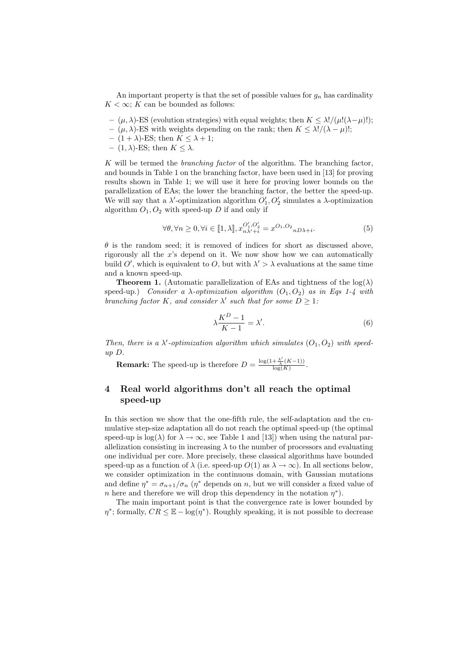An important property is that the set of possible values for  $g_n$  has cardinality  $K < \infty$ ; K can be bounded as follows:

- (µ, λ)-ES (evolution strategies) with equal weights; then K ≤ λ!/(µ!(λ−µ)!);
- (µ, λ)-ES with weights depending on the rank; then K ≤ λ!/(λ − µ)!;
- $(1 + \lambda)$ -ES; then  $K \leq \lambda + 1$ ;
- $-$  (1,  $\lambda$ )-ES; then  $K \leq \lambda$ .

K will be termed the *branching factor* of the algorithm. The branching factor, and bounds in Table 1 on the branching factor, have been used in [13] for proving results shown in Table 1; we will use it here for proving lower bounds on the parallelization of EAs; the lower the branching factor, the better the speed-up. We will say that a  $\lambda'$ -optimization algorithm  $O'_1, O'_2$  simulates a  $\lambda$ -optimization algorithm  $O_1, O_2$  with speed-up D if and only if

$$
\forall \theta, \forall n \ge 0, \forall i \in [\![1, \lambda]\!], x_{n\lambda'+i}^{O'_1, O'_2} = x^{O_1, O_2} {}_{nD\lambda+i}.
$$
 (5)

 $\theta$  is the random seed; it is removed of indices for short as discussed above, rigorously all the x's depend on it. We now show how we can automatically build  $O'$ , which is equivalent to O, but with  $\lambda' > \lambda$  evaluations at the same time and a known speed-up.

**Theorem 1.** (Automatic parallelization of EAs and tightness of the  $log(\lambda)$ ) speed-up.) *Consider a*  $\lambda$ *-optimization algorithm*  $(O_1, O_2)$  *as in Eqs 1-4 with branching factor*  $K$ *, and consider*  $\lambda'$  *such that for some*  $D \geq 1$ *:* 

$$
\lambda \frac{K^D - 1}{K - 1} = \lambda'.\tag{6}
$$

*Then, there is a*  $\lambda'$ -optimization algorithm which simulates  $(O_1, O_2)$  with speed*up* D*.*

**Remark:** The speed-up is therefore  $D = \frac{\log(1 + \frac{\lambda'}{\lambda}(K-1))}{\log(K)}$  $\frac{\tau \overline{\lambda}^{(K-1)j}}{\log(K)}$ .

# 4 Real world algorithms don't all reach the optimal speed-up

In this section we show that the one-fifth rule, the self-adaptation and the cumulative step-size adaptation all do not reach the optimal speed-up (the optimal speed-up is  $\log(\lambda)$  for  $\lambda \to \infty$ , see Table 1 and [13]) when using the natural parallelization consisting in increasing  $\lambda$  to the number of processors and evaluating one individual per core. More precisely, these classical algorithms have bounded speed-up as a function of  $\lambda$  (i.e. speed-up  $O(1)$  as  $\lambda \to \infty$ ). In all sections below, we consider optimization in the continuous domain, with Gaussian mutations and define  $\eta^* = \sigma_{n+1}/\sigma_n$  ( $\eta^*$  depends on n, but we will consider a fixed value of *n* here and therefore we will drop this dependency in the notation  $\eta^*$ ).

The main important point is that the convergence rate is lower bounded by  $\eta^*$ ; formally,  $CR \leq \mathbb{E} - \log(\eta^*)$ . Roughly speaking, it is not possible to decrease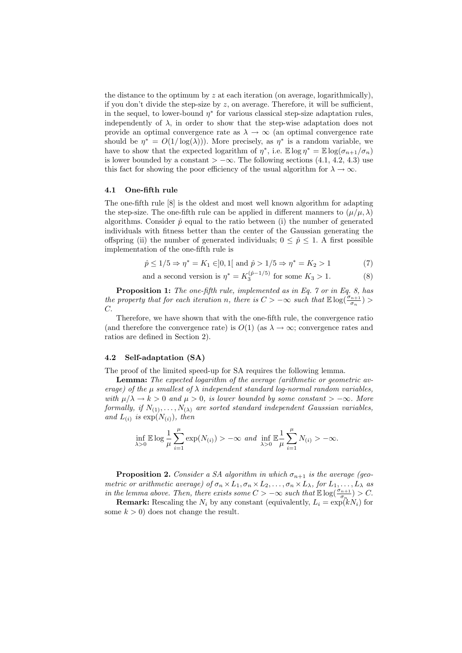the distance to the optimum by z at each iteration (on average, logarithmically), if you don't divide the step-size by  $z$ , on average. Therefore, it will be sufficient, in the sequel, to lower-bound  $\eta^*$  for various classical step-size adaptation rules, independently of  $\lambda$ , in order to show that the step-wise adaptation does not provide an optimal convergence rate as  $\lambda \to \infty$  (an optimal convergence rate should be  $\eta^* = O(1/\log(\lambda))$ . More precisely, as  $\eta^*$  is a random variable, we have to show that the expected logarithm of  $\eta^*$ , i.e.  $\mathbb{E} \log \eta^* = \mathbb{E} \log(\sigma_{n+1}/\sigma_n)$ is lower bounded by a constant  $\gt -\infty$ . The following sections (4.1, 4.2, 4.3) use this fact for showing the poor efficiency of the usual algorithm for  $\lambda \to \infty$ .

#### 4.1 One-fifth rule

The one-fifth rule [8] is the oldest and most well known algorithm for adapting the step-size. The one-fifth rule can be applied in different manners to  $(\mu/\mu, \lambda)$ algorithms. Consider  $\hat{p}$  equal to the ratio between (i) the number of generated individuals with fitness better than the center of the Gaussian generating the offspring (ii) the number of generated individuals;  $0 \leq \hat{p} \leq 1$ . A first possible implementation of the one-fifth rule is

$$
\hat{p} \le 1/5 \Rightarrow \eta^* = K_1 \in ]0,1[ \text{ and } \hat{p} > 1/5 \Rightarrow \eta^* = K_2 > 1 \tag{7}
$$

and a second version is 
$$
\eta^* = K_3^{(\hat{p}-1/5)}
$$
 for some  $K_3 > 1.$  (8)

Proposition 1: *The one-fifth rule, implemented as in Eq. 7 or in Eq. 8, has the property that for each iteration n, there is*  $C > -\infty$  *such that*  $\mathbb{E} \log(\frac{\sigma_{n+1}}{\sigma_n})$ C.

Therefore, we have shown that with the one-fifth rule, the convergence ratio (and therefore the convergence rate) is  $O(1)$  (as  $\lambda \to \infty$ ; convergence rates and ratios are defined in Section 2).

#### 4.2 Self-adaptation (SA)

The proof of the limited speed-up for SA requires the following lemma.

Lemma: *The expected logarithm of the average (arithmetic or geometric average)* of the  $\mu$  smallest of  $\lambda$  independent standard log-normal random variables, *with*  $\mu/\lambda \to k > 0$  *and*  $\mu > 0$ *, is lower bounded by some constant* >  $-\infty$ *. More formally, if*  $N_{(1)}, \ldots, N_{(\lambda)}$  *are sorted standard independent Gaussian variables,* and  $L_{(i)}$  is  $\exp(N_{(i)})$ *, then* 

$$
\inf_{\lambda>0}\mathbb{E}\log\frac{1}{\mu}\sum_{i=1}^{\mu}\exp(N_{(i)})>-\infty \text{ and } \inf_{\lambda>0}\mathbb{E}\frac{1}{\mu}\sum_{i=1}^{\mu}N_{(i)}>-\infty.
$$

**Proposition 2.** *Consider a SA algorithm in which*  $\sigma_{n+1}$  *is the average (geometric or arithmetic average) of*  $\sigma_n \times L_1$ ,  $\sigma_n \times L_2$ , ...,  $\sigma_n \times L_\lambda$ , for  $L_1$ , ...,  $L_\lambda$  *as in the lemma above. Then, there exists some*  $C > -\infty$  *such that*  $\mathbb{E} \log(\frac{\sigma_{n+1}}{\sigma_n}) > C$ .

**Remark:** Rescaling the  $N_i$  by any constant (equivalently,  $L_i = \exp(kN_i)$  for some  $k > 0$  does not change the result.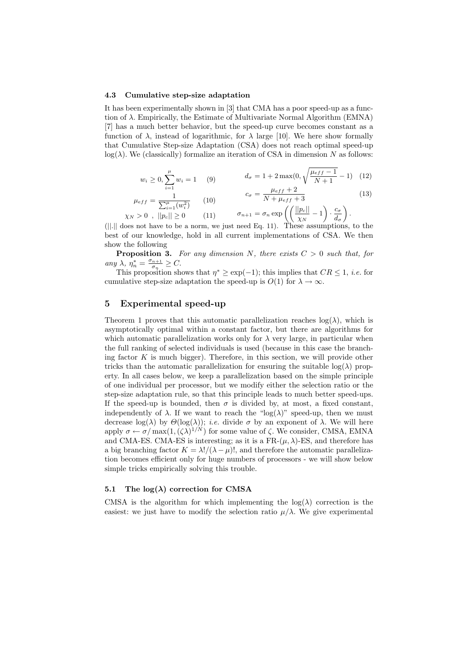#### 4.3 Cumulative step-size adaptation

It has been experimentally shown in [3] that CMA has a poor speed-up as a function of λ. Empirically, the Estimate of Multivariate Normal Algorithm (EMNA) [7] has a much better behavior, but the speed-up curve becomes constant as a function of  $\lambda$ , instead of logarithmic, for  $\lambda$  large [10]. We here show formally that Cumulative Step-size Adaptation (CSA) does not reach optimal speed-up  $log(\lambda)$ . We (classically) formalize an iteration of CSA in dimension N as follows:

$$
w_i \ge 0, \sum_{i=1}^{\mu} w_i = 1 \qquad (9) \qquad d_{\sigma} = 1 + 2 \max(0, \sqrt{\frac{\mu_{eff} - 1}{N + 1}} - 1) \quad (12)
$$

$$
\mu_{eff} = \frac{1}{\sum_{i=1}^{\mu} (w_i^2)} \qquad (10) \qquad c_{\sigma} = \frac{\mu_{eff} + 2}{N + \mu_{eff} + 3} \qquad (13)
$$
\n
$$
\chi_N > 0 \ , \ ||p_c|| \ge 0 \qquad (11) \qquad \sigma_{n+1} = \sigma_n \exp\left(\left(\frac{||p_c||}{\chi_N} - 1\right) \cdot \frac{c_{\sigma}}{d_{\sigma}}\right).
$$

(||.|| does not have to be a norm, we just need Eq. 11). These assumptions, to the best of our knowledge, hold in all current implementations of CSA. We then show the following

**Proposition 3.** For any dimension N, there exists  $C > 0$  such that, for *any*  $\lambda$ *,*  $\overline{\eta}_n^* = \frac{\sigma_{n+1}}{\sigma_n}$  $\frac{n+1}{\sigma_n} \geq C.$ 

This proposition shows that  $\eta^* \geq \exp(-1)$ ; this implies that  $CR \leq 1$ , *i.e.* for cumulative step-size adaptation the speed-up is  $O(1)$  for  $\lambda \to \infty$ .

# 5 Experimental speed-up

Theorem 1 proves that this automatic parallelization reaches  $log(\lambda)$ , which is asymptotically optimal within a constant factor, but there are algorithms for which automatic parallelization works only for  $\lambda$  very large, in particular when the full ranking of selected individuals is used (because in this case the branching factor  $K$  is much bigger). Therefore, in this section, we will provide other tricks than the automatic parallelization for ensuring the suitable  $log(\lambda)$  property. In all cases below, we keep a parallelization based on the simple principle of one individual per processor, but we modify either the selection ratio or the step-size adaptation rule, so that this principle leads to much better speed-ups. If the speed-up is bounded, then  $\sigma$  is divided by, at most, a fixed constant, independently of  $\lambda$ . If we want to reach the "log( $\lambda$ )" speed-up, then we must decrease  $log(\lambda)$  by  $\Theta(log(\lambda))$ ; *i.e.* divide  $\sigma$  by an exponent of  $\lambda$ . We will here apply  $\sigma \leftarrow \sigma/\max(1, (\zeta \lambda)^{1/N})$  for some value of  $\zeta$ . We consider, CMSA, EMNA and CMA-ES. CMA-ES is interesting; as it is a FR- $(\mu, \lambda)$ -ES, and therefore has a big branching factor  $K = \lambda! / (\lambda - \mu)!$ , and therefore the automatic parallelization becomes efficient only for huge numbers of processors - we will show below simple tricks empirically solving this trouble.

## 5.1 The  $log(\lambda)$  correction for CMSA

CMSA is the algorithm for which implementing the  $log(\lambda)$  correction is the easiest: we just have to modify the selection ratio  $\mu/\lambda$ . We give experimental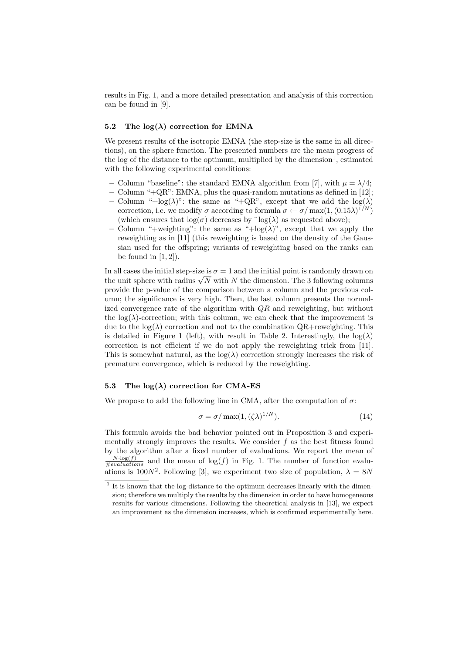results in Fig. 1, and a more detailed presentation and analysis of this correction can be found in [9].

#### 5.2 The  $log(\lambda)$  correction for EMNA

We present results of the isotropic EMNA (the step-size is the same in all directions), on the sphere function. The presented numbers are the mean progress of the log of the distance to the optimum, multiplied by the dimension<sup>1</sup>, estimated with the following experimental conditions:

- Column "baseline": the standard EMNA algorithm from [7], with  $\mu = \lambda/4$ ;
- Column "+QR": EMNA, plus the quasi-random mutations as defined in [12];
- Column "+log( $\lambda$ )": the same as "+QR", except that we add the log( $\lambda$ ) correction, i.e. we modify  $\sigma$  according to formula  $\sigma \leftarrow \sigma / \max(1, (0.15\lambda)^{1/N})$ (which ensures that  $log(\sigma)$  decreases by  $log(\lambda)$  as requested above);
- Column "+weighting": the same as "+ $log(\lambda)$ ", except that we apply the reweighting as in [11] (this reweighting is based on the density of the Gaussian used for the offspring; variants of reweighting based on the ranks can be found in  $[1, 2]$ ).

In all cases the initial step-size is  $\sigma = 1$  and the initial point is randomly drawn on the unit sphere with radius  $\sqrt{N}$  with N the dimension. The 3 following columns provide the p-value of the comparison between a column and the previous column; the significance is very high. Then, the last column presents the normalized convergence rate of the algorithm with  $QR$  and reweighting, but without the  $log(\lambda)$ -correction; with this column, we can check that the improvement is due to the  $log(\lambda)$  correction and not to the combination QR+reweighting. This is detailed in Figure 1 (left), with result in Table 2. Interestingly, the  $log(\lambda)$ correction is not efficient if we do not apply the reweighting trick from [11]. This is somewhat natural, as the  $log(\lambda)$  correction strongly increases the risk of premature convergence, which is reduced by the reweighting.

#### 5.3 The  $log(\lambda)$  correction for CMA-ES

We propose to add the following line in CMA, after the computation of  $\sigma$ :

$$
\sigma = \sigma / \max(1, (\zeta \lambda)^{1/N}). \tag{14}
$$

This formula avoids the bad behavior pointed out in Proposition 3 and experimentally strongly improves the results. We consider  $f$  as the best fitness found by the algorithm after a fixed number of evaluations. We report the mean of  $\frac{N\cdot \log(f)}{\#evaluations}$  and the mean of  $\log(f)$  in Fig. 1. The number of function evaluations is 100 $N^2$ . Following [3], we experiment two size of population,  $\lambda = 8N$ 

<sup>&</sup>lt;sup>1</sup> It is known that the log-distance to the optimum decreases linearly with the dimension; therefore we multiply the results by the dimension in order to have homogeneous results for various dimensions. Following the theoretical analysis in [13], we expect an improvement as the dimension increases, which is confirmed experimentally here.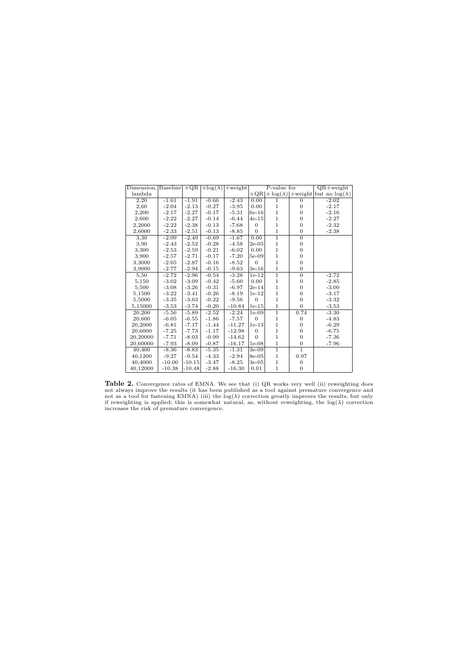| Dimension, $\text{Baseline}  + \text{QR}  + \log(\lambda)  + \text{weight} $ |          |          |         |          | P-value for      |                |                | $QR + weight$                                    |
|------------------------------------------------------------------------------|----------|----------|---------|----------|------------------|----------------|----------------|--------------------------------------------------|
| lambda                                                                       |          |          |         |          |                  |                |                | $+QR +log(\lambda) +weight but no log(\lambda) $ |
| 2,20                                                                         | $-1.61$  | $-1.91$  | $-0.66$ | $-2.43$  | 0.00             | 1              | $\overline{0}$ | $-2.02$                                          |
| 2,60                                                                         | $-2.04$  | $-2.13$  | $-0.27$ | $-3.95$  | 0.00             | $\mathbf{1}$   | $\overline{0}$ | $-2.17$                                          |
| 2,200                                                                        | $-2.17$  | $-2.27$  | $-0.17$ | $-5.31$  | $6e-16$          | $\mathbf{1}$   | $\overline{0}$ | $-2.16$                                          |
| 2,600                                                                        | $-2.22$  | $-2.27$  | $-0.14$ | $-6.44$  | $4e-15$          | $\,1$          | $\mathbf{0}$   | $-2.27$                                          |
| 2,2000                                                                       | $-2.22$  | $-2.38$  | $-0.13$ | $-7.68$  | $\overline{0}$   | $\mathbf{1}$   | $\mathbf{0}$   | $-2.32$                                          |
| 2,6000                                                                       | $-2.33$  | $-2.51$  | $-0.13$ | $-8.85$  | $\boldsymbol{0}$ | $\mathbf{1}$   | $\overline{0}$ | $-2.38$                                          |
| 3,30                                                                         | $-2.09$  | $-2.49$  | $-0.69$ | $-1.67$  | 0.00             | $\overline{1}$ | $\overline{0}$ |                                                  |
| 3,90                                                                         | $-2.43$  | $-2.52$  | $-0.28$ | $-4.58$  | $2e-05$          | $\mathbf{1}$   | $\mathbf{0}$   |                                                  |
| 3,300                                                                        | $-2.53$  | $-2.59$  | $-0.21$ | $-6.02$  | 0.00             | $\mathbf{1}$   | $\overline{0}$ |                                                  |
| 3,900                                                                        | $-2.57$  | $-2.71$  | $-0.17$ | $-7.20$  | $5e-09$          | $\,1$          | $\overline{0}$ |                                                  |
| 3,3000                                                                       | $-2.65$  | $-2.87$  | $-0.16$ | $-8.52$  | $\overline{0}$   | $\mathbf{1}$   | $\mathbf{0}$   |                                                  |
| 3,9000                                                                       | $-2.77$  | $-2.94$  | $-0.15$ | $-9.63$  | $3e-16$          | $\mathbf{1}$   | $\mathbf{0}$   |                                                  |
| 5,50                                                                         | $-2.72$  | $-2.96$  | $-0.54$ | $-3.28$  | $1e-12$          | $\overline{1}$ | $\overline{0}$ | $-2.72$                                          |
| 5,150                                                                        | $-3.02$  | $-3.09$  | $-0.42$ | $-5.60$  | 0.00             | $\mathbf{1}$   | $\mathbf{0}$   | $-2.85$                                          |
| 5,500                                                                        | $-3.08$  | $-3.26$  | $-0.31$ | $-6.97$  | $2e-14$          | $\,1$          | $\overline{0}$ | $-3.00$                                          |
| 5,1500                                                                       | $-3.22$  | $-3.41$  | $-0.26$ | $-8.19$  | $1e-12$          | $\,1$          | $\overline{0}$ | $-3.17$                                          |
| 5,5000                                                                       | $-3.35$  | $-3.63$  | $-0.22$ | $-9.56$  | $\overline{0}$   | $\mathbf{1}$   | $\overline{0}$ | $-3.32$                                          |
| 5,15000                                                                      | $-3.53$  | $-3.74$  | $-0.20$ | $-10.84$ | $1e-15$          | $\mathbf{1}$   | $\overline{0}$ | $-3.53$                                          |
| 20,200                                                                       | $-5.56$  | $-5.89$  | $-2.52$ | $-2.24$  | $1e-09$          | $\overline{1}$ | 0.74           | $-3.30$                                          |
| 20,600                                                                       | $-6.05$  | $-6.55$  | $-1.86$ | $-7.57$  | $\overline{0}$   | $\mathbf{1}$   | $\mathbf{0}$   | $-4.83$                                          |
| 20,2000                                                                      | $-6.81$  | $-7.17$  | $-1.44$ | $-11.27$ | $1e-13$          | $\,1$          | $\overline{0}$ | $-6.29$                                          |
| 20,6000                                                                      | $-7.25$  | $-7.73$  | $-1.17$ | $-12.98$ | $\overline{0}$   | $\,1$          | $\overline{0}$ | $-6.75$                                          |
| 20,20000                                                                     | $-7.71$  | $-8.03$  | $-0.99$ | $-14.62$ | $\Omega$         | $\mathbf{1}$   | $\overline{0}$ | $-7.36$                                          |
| 20,60000                                                                     | $-7.93$  | $-8.09$  | $-0.87$ | $-16.17$ | $1e-08$          | $\,1$          | $\mathbf{0}$   | $-7.96$                                          |
| 40,400                                                                       | $-8.36$  | $-8.83$  | $-5.35$ | $-1.31$  | $3e-09$          | $\overline{1}$ | $\overline{1}$ |                                                  |
| 40,1200                                                                      | $-9.27$  | $-9.54$  | $-4.33$ | $-2.94$  | 8e-05            | $\mathbf{1}$   | 0.97           |                                                  |
| 40,4000                                                                      | $-10.00$ | $-10.15$ | $-3.47$ | $-8.25$  | $3e-05$          | $\,1\,$        | $\mathbf{0}$   |                                                  |
| 40.12000                                                                     | $-10.38$ | $-10.48$ | $-2.88$ | $-16.30$ | 0.01             | $\mathbf{1}$   | $\mathbf{0}$   |                                                  |

**Table 2.** Convergence rates of EMNA. We see that (i) QR works very well (ii) reweighting does not always improve the results (it has been published as a tool against premature convergence and not as a tool for fastening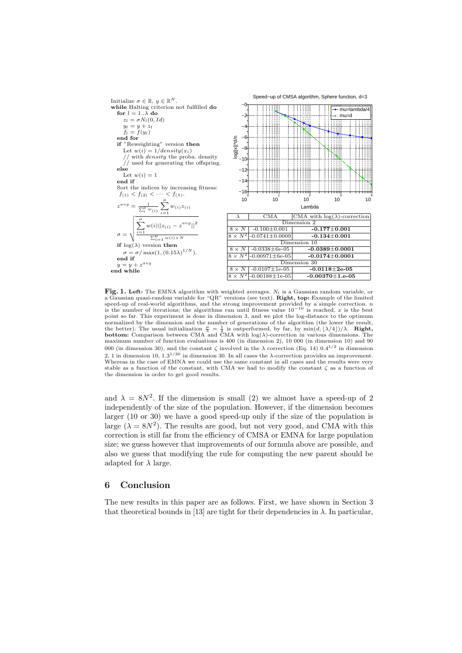

Fig. 1. Left: The EMNA algorithm with weighted averages.  $N_l$  is a Gaussian random variable, or a Gaussian quasi-random variable for "QR" versions (see text). Right, top: Example of the limited speed-up of real-world algorithms, and the strong improvement provided by a simple correction. *n* is the best is the number of iterations; the algorithms run until fitness value  $10^{-10}$  is reached, x is the best point so far. This experiment is done in dimension 3, and we plot the log-distance to the optimum normalized by the dimension and the number of generations of the algorithm (the lower the result, the better). The usual initialization  $\frac{\mu}{\lambda} = \frac{1}{4}$  is outperformed, by far, by  $\min(\tilde{d}, \lfloor \lambda/4 \rfloor)/\lambda$ . **Right, bottom:** Comparison between CMA and CMA with log( $\lambda$ )-correction in various dimensions. The maximum number of function evaluations is 400 (in dimension 2), 10 000 (in dimension 10) and 90 000 (in dimension 30), and the constant  $\zeta$  involved in the  $\lambda$  correction (Eq. 14) 0.4<sup>1/2</sup> in dimension 2, 1 in dimension 10,  $1.3^{1/30}$  in dimension 30. In all cases the  $\lambda$ -correction provides an improvement. Whereas in the case of EMNA we could use the same constant in all cases and the results were very stable as a function of the constant, with CMA we had to modify the constant  $\zeta$  as a function of the dimension in order to get good results.

and  $\lambda = 8N^2$ . If the dimension is small (2) we almost have a speed-up of 2 independently of the size of the population. However, if the dimension becomes larger (10 or 30) we have a good speed-up only if the size of the population is large  $(\lambda = 8N^2)$ . The results are good, but not very good, and CMA with this correction is still far from the efficiency of CMSA or EMNA for large population size; we guess however that improvements of our formula above are possible, and also we guess that modifying the rule for computing the new parent should be adapted for  $\lambda$  large.

## 6 Conclusion

The new results in this paper are as follows. First, we have shown in Section 3 that theoretical bounds in [13] are tight for their dependencies in  $\lambda$ . In particular,